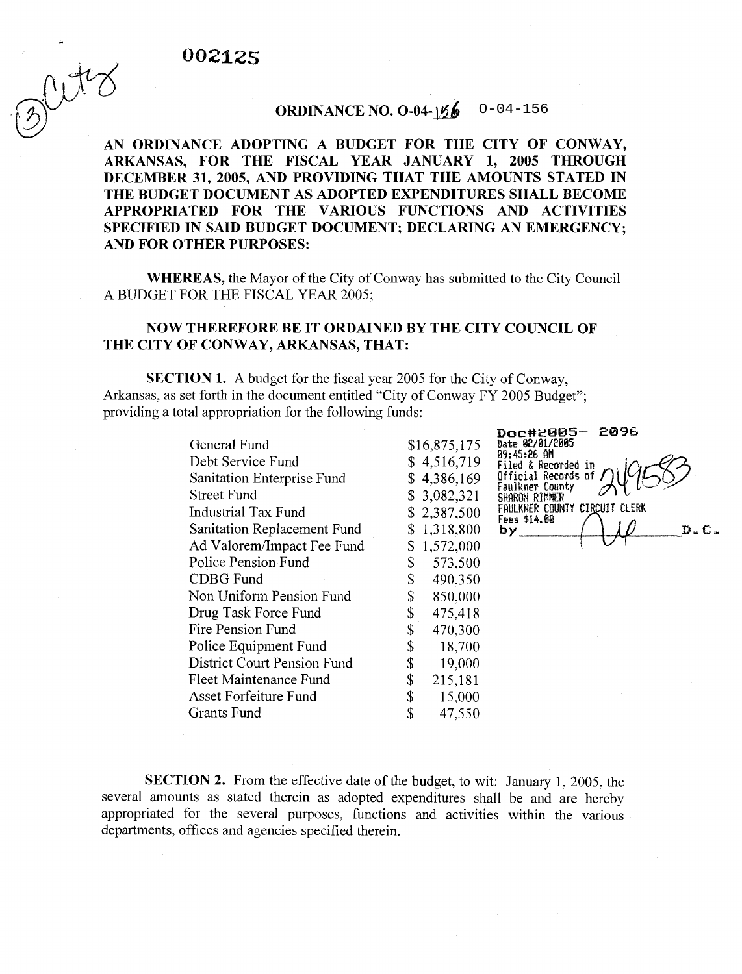## 002125

 $(\bigcirc)$ 

## ORDINANCE NO.  $0-04-156$ O-04-156

AN ORDINANCE ADOPTING A BUDGET FOR THE CITY OF CONWAY, ARKANSAS, FOR THE FISCAL YEAR JANUARY 1, 2005 THROUGH DECEMBER 31,2005, AND PROVIDING THAT THE AMOUNTS STATED IN THE BUDGET DOCUMENT AS ADOPTED EXPENDITURES SHALL BECOME APPROPRIATED FOR THE VARIOUS FUNCTIONS AND ACTIVITIES SPECIFIED IN SAID BUDGET DOCUMENT; DECLARING AN EMERGENCY; AND FOR OTHER PURPOSES:

WHEREAS, the Mayor of the City of Conway has submitted to the City Council A BUDGET FOR THE FISCAL YEAR 2005;

## NOW THEREFORE BE IT ORDAINED BY THE CITY COUNCIL OF THE CITY OF CONWAY, ARKANSAS, THAT:

SECTION 1. A budget for the fiscal year 2005 for the City of Conway, Arkansas, as set forth in the document entitled "City of Conway FY 2005 Budget"; providing a total appropriation for the following funds:

> General Fund Debt Service Fund Sanitation Enterprise Fund Street Fund Industrial Tax Fund Sanitation Replacement Fund Ad Valorem/Impact Fee Fund Police Pension Fund CDBG Fund Non Uniform Pension Fund Drug Task Force Fund Fire Pension Fund Police Equipment Fund District Court Pension Fund Fleet Maintenance Fund Asset Forfeiture Fund Grants Fund

\$16,875,175 **Date 02/01/2605**   $$ 4,516,719$ <br> $$ 4,386,169$ \$ 3,082,321 \$ 2,387,500 \$ 1,318,800 by. \$ 1,572,000 \$ 573,500 \$ 490,350  $$850,000$ <br> $$475,418$ \$ 475,418  $\begin{array}{cc} $ & 470,300 \ $ & 18,700 \ \end{array}$  $\begin{array}{cc} $ & 18,700 \ $ & 19,000 \ \end{array}$ \$ 19,000  $\begin{array}{cc} $ & 215,181 \ $ & 15,000 \ \end{array}$ \$ 15,000

\$ 47,550

**D~~c#2885- 289h**  Filed & Recorded in Official Records of<br>Faulkner County<br>SHAROM RIMMER FAULKNER COUNTY CIRCUIT CLERK  $D - C$ 

SECTION 2. From the effective date of the budget, to wit: January 1, 2005, the several amounts as stated therein as adopted expenditures shall be and are hereby appropriated for the several purposes, functions and activities within the various departments, offices and agencies specified therein.